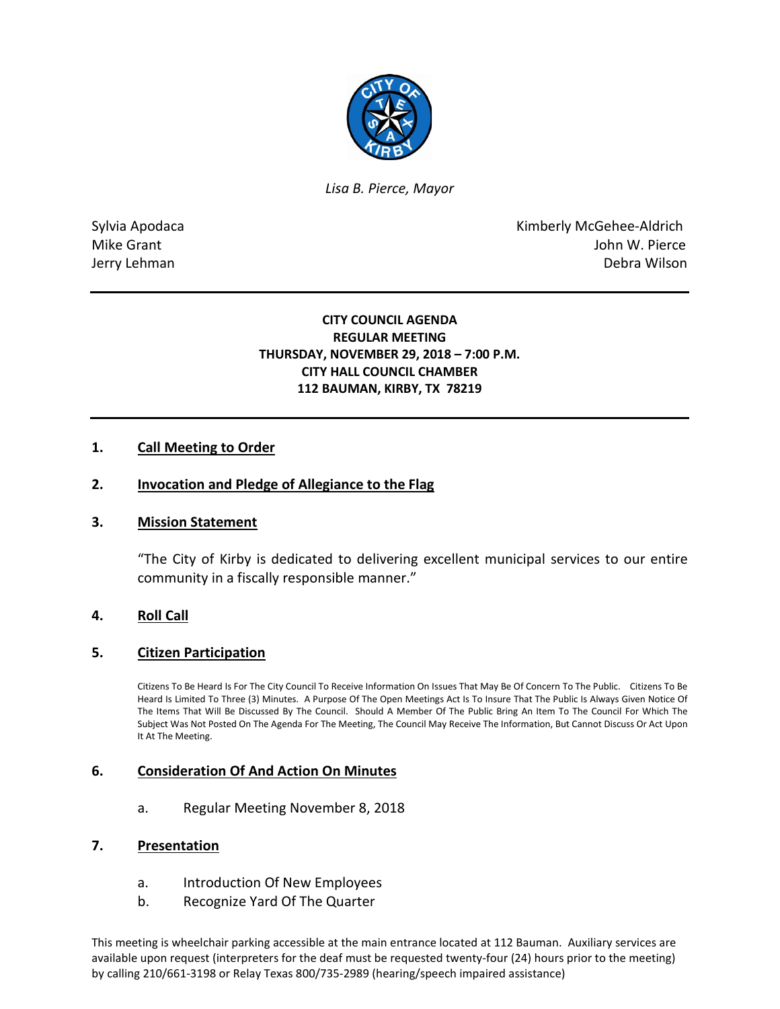

*Lisa B. Pierce, Mayor* 

Sylvia Apodaca **Kimberly McGehee-Aldrich** Mike Grant **Mike Grant** John W. Pierce Jerry Lehman Debra Wilson

# **CITY COUNCIL AGENDA REGULAR MEETING THURSDAY, NOVEMBER 29, 2018 – 7:00 P.M. CITY HALL COUNCIL CHAMBER 112 BAUMAN, KIRBY, TX 78219**

# **1. Call Meeting to Order**

### **2. Invocation and Pledge of Allegiance to the Flag**

### **3. Mission Statement**

"The City of Kirby is dedicated to delivering excellent municipal services to our entire community in a fiscally responsible manner."

### **4. Roll Call**

### **5. Citizen Participation**

Citizens To Be Heard Is For The City Council To Receive Information On Issues That May Be Of Concern To The Public. Citizens To Be Heard Is Limited To Three (3) Minutes. A Purpose Of The Open Meetings Act Is To Insure That The Public Is Always Given Notice Of The Items That Will Be Discussed By The Council. Should A Member Of The Public Bring An Item To The Council For Which The Subject Was Not Posted On The Agenda For The Meeting, The Council May Receive The Information, But Cannot Discuss Or Act Upon It At The Meeting.

### **6. Consideration Of And Action On Minutes**

a. Regular Meeting November 8, 2018

#### **7. Presentation**

- a. Introduction Of New Employees
- b. Recognize Yard Of The Quarter

This meeting is wheelchair parking accessible at the main entrance located at 112 Bauman. Auxiliary services are available upon request (interpreters for the deaf must be requested twenty-four (24) hours prior to the meeting) by calling 210/661-3198 or Relay Texas 800/735-2989 (hearing/speech impaired assistance)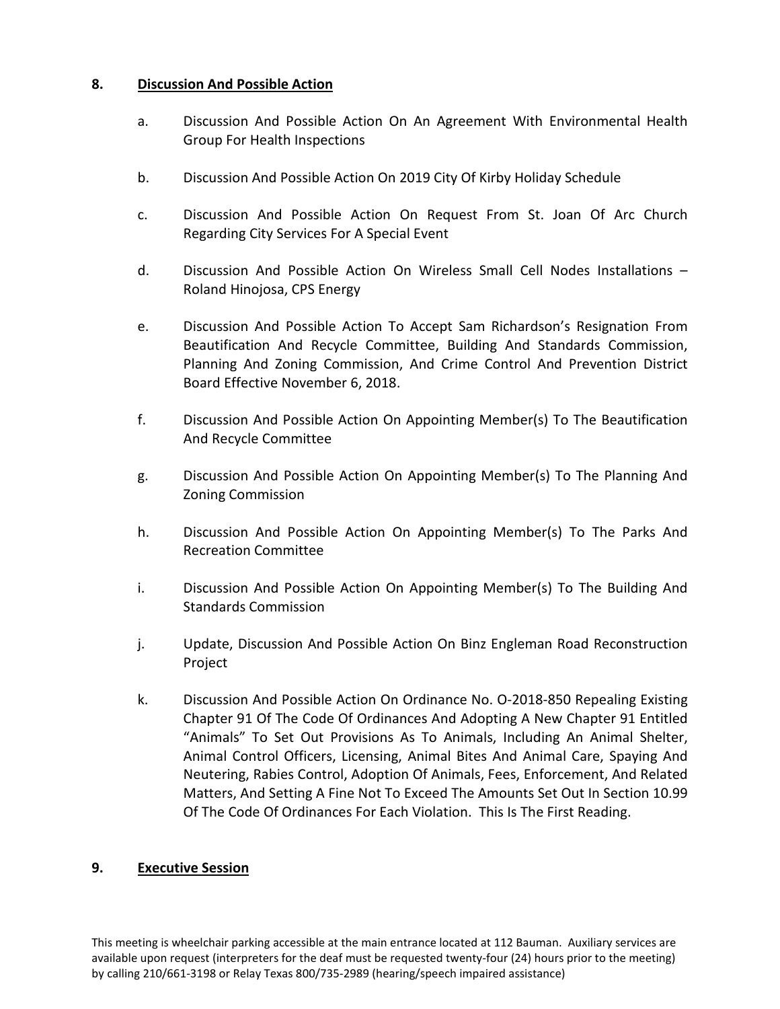# **8. Discussion And Possible Action**

- a. Discussion And Possible Action On An Agreement With Environmental Health Group For Health Inspections
- b. Discussion And Possible Action On 2019 City Of Kirby Holiday Schedule
- c. Discussion And Possible Action On Request From St. Joan Of Arc Church Regarding City Services For A Special Event
- d. Discussion And Possible Action On Wireless Small Cell Nodes Installations Roland Hinojosa, CPS Energy
- e. Discussion And Possible Action To Accept Sam Richardson's Resignation From Beautification And Recycle Committee, Building And Standards Commission, Planning And Zoning Commission, And Crime Control And Prevention District Board Effective November 6, 2018.
- f. Discussion And Possible Action On Appointing Member(s) To The Beautification And Recycle Committee
- g. Discussion And Possible Action On Appointing Member(s) To The Planning And Zoning Commission
- h. Discussion And Possible Action On Appointing Member(s) To The Parks And Recreation Committee
- i. Discussion And Possible Action On Appointing Member(s) To The Building And Standards Commission
- j. Update, Discussion And Possible Action On Binz Engleman Road Reconstruction Project
- k. Discussion And Possible Action On Ordinance No. O-2018-850 Repealing Existing Chapter 91 Of The Code Of Ordinances And Adopting A New Chapter 91 Entitled "Animals" To Set Out Provisions As To Animals, Including An Animal Shelter, Animal Control Officers, Licensing, Animal Bites And Animal Care, Spaying And Neutering, Rabies Control, Adoption Of Animals, Fees, Enforcement, And Related Matters, And Setting A Fine Not To Exceed The Amounts Set Out In Section 10.99 Of The Code Of Ordinances For Each Violation. This Is The First Reading.

# **9. Executive Session**

This meeting is wheelchair parking accessible at the main entrance located at 112 Bauman. Auxiliary services are available upon request (interpreters for the deaf must be requested twenty-four (24) hours prior to the meeting) by calling 210/661-3198 or Relay Texas 800/735-2989 (hearing/speech impaired assistance)